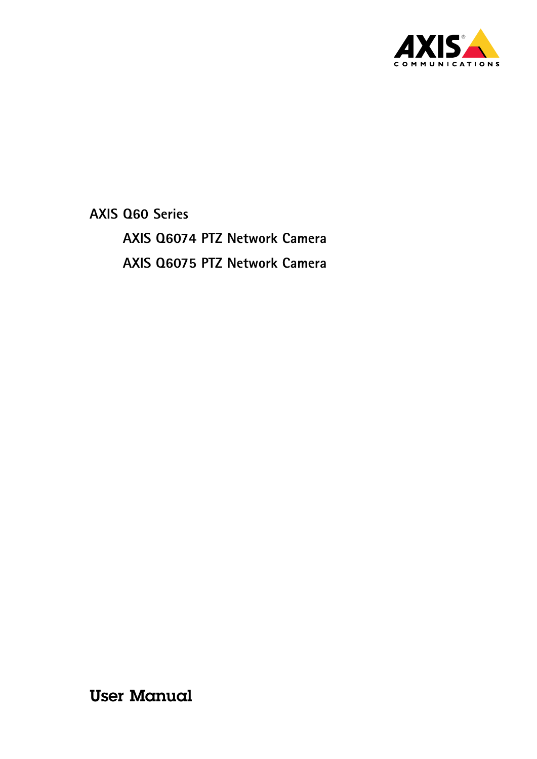

**AXIS Q60 Series AXIS Q6074 PTZ Network Camera AXIS Q6075 PTZ Network Camera**

User Manual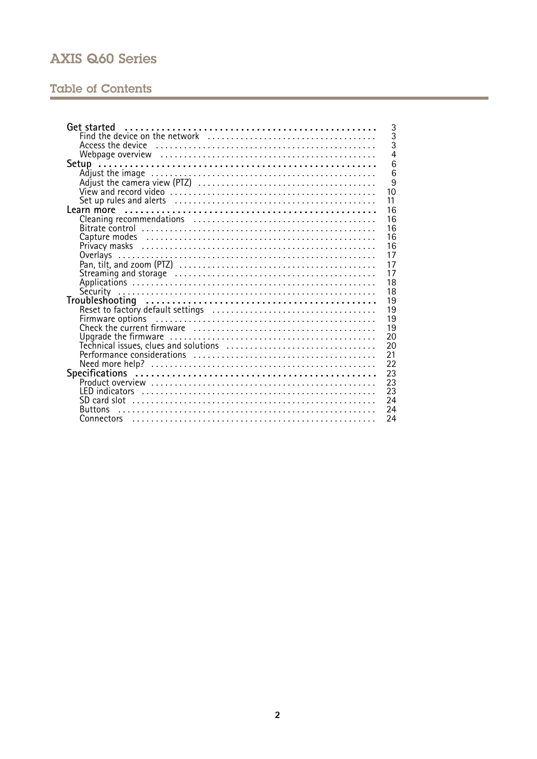# **Table of Contents**

| 3<br><b>Get started</b>                              |
|------------------------------------------------------|
| $\overline{3}$                                       |
| $\bar{3}$                                            |
| $\overline{4}$                                       |
| 6                                                    |
| 6                                                    |
| 9                                                    |
| 10                                                   |
| 11                                                   |
| 16                                                   |
| 16                                                   |
| 16                                                   |
| 16                                                   |
| 16                                                   |
| 17<br>Overlays                                       |
| 17                                                   |
| 17                                                   |
| 18                                                   |
| 18                                                   |
| 19                                                   |
| 19                                                   |
| 19                                                   |
| Firmware options<br>Check the current firmware<br>19 |
| 20                                                   |
| 20                                                   |
| 21                                                   |
| 22                                                   |
| 23                                                   |
| 23                                                   |
| 23                                                   |
| 24                                                   |
| 24<br><b>Buttons</b>                                 |
| 24                                                   |
|                                                      |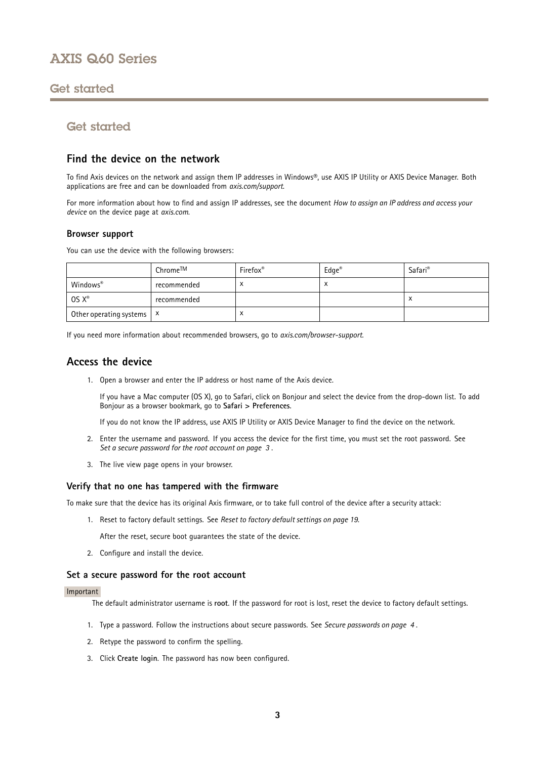## <span id="page-2-0"></span>Get started

## Get started

### **Find the device on the network**

To find Axis devices on the network and assign them IP addresses in Windows®, use AXIS IP Utility or AXIS Device Manager. Both applications are free and can be downloaded from *[axis.com/support](https://www.axis.com/support)*.

For more information about how to find and assign IP addresses, see the document *How to assign an IP address and access your device* on the device page at *[axis.com](https://www.axis.com)*.

### **Browser support**

You can use the device with the following browsers:

|                             | Chrome™     | Firefox <sup>®</sup> | $Edge^{\otimes}$ | Safari <sup>®</sup> |
|-----------------------------|-------------|----------------------|------------------|---------------------|
| Windows®                    | recommended | $\lambda$            | $\lambda$        |                     |
| $OS X^*$                    | recommended |                      |                  |                     |
| Other operating systems   X |             | ◠                    |                  |                     |

If you need more information about recommended browsers, go to *[axis.com/browser-support](https://www.axis.com/browser-support)*.

### **Access the device**

1. Open <sup>a</sup> browser and enter the IP address or host name of the Axis device.

If you have <sup>a</sup> Mac computer (OS X), go to Safari, click on Bonjour and select the device from the drop-down list. To add Bonjour as <sup>a</sup> browser bookmark, go to **Safari <sup>&</sup>gt; Preferences**.

If you do not know the IP address, use AXIS IP Utility or AXIS Device Manager to find the device on the network.

- 2. Enter the username and password. If you access the device for the first time, you must set the root password. See *Set <sup>a</sup> secure password for the root account on page 3* .
- 3. The live view page opens in your browser.

#### **Verify that no one has tampered with the firmware**

To make sure that the device has its original Axis firmware, or to take full control of the device after <sup>a</sup> security attack:

1. Reset to factory default settings. See *Reset to factory default [settings](#page-18-0) on page [19](#page-18-0)*.

After the reset, secure boot guarantees the state of the device.

2. Configure and install the device.

### **Set <sup>a</sup> secure password for the root account**

#### Important

The default administrator username is **root**. If the password for root is lost, reset the device to factory default settings.

- 1. Type <sup>a</sup> password. Follow the instructions about secure passwords. See *Secure [passwords](#page-3-0) on page [4](#page-3-0)* .
- 2. Retype the password to confirm the spelling.
- 3. Click **Create login**. The password has now been configured.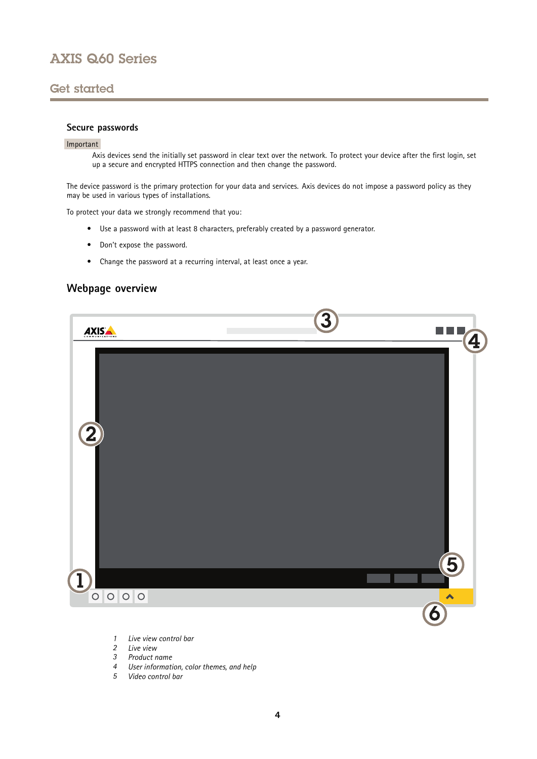## <span id="page-3-0"></span>Get started

### **Secure passwords**

#### Important

Axis devices send the initially set password in clear text over the network. To protect your device after the first login, set up <sup>a</sup> secure and encrypted HTTPS connection and then change the password.

The device password is the primary protection for your data and services. Axis devices do not impose <sup>a</sup> password policy as they may be used in various types of installations.

To protect your data we strongly recommend that you:

- Use <sup>a</sup> password with at least 8 characters, preferably created by <sup>a</sup> password generator.
- Don't expose the password.
- Change the password at <sup>a</sup> recurring interval, at least once <sup>a</sup> year.

### **Webpage overview**



- *1 Live view control bar*
- *2 Live view*
- *3 Product name*
- *<sup>4</sup> User information, color themes, and help*
- *5 Video control bar*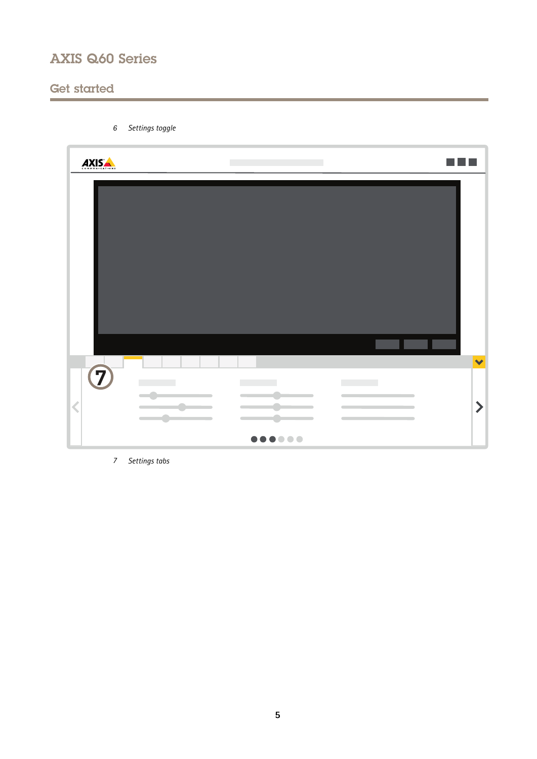*6 Settings toggle*

# Get started

| AXISA                                                                                                                             | <b>The Co</b>                                                                                                                                                                                                                                                                                                                            |                                                                                                                                                                                                        |                       |
|-----------------------------------------------------------------------------------------------------------------------------------|------------------------------------------------------------------------------------------------------------------------------------------------------------------------------------------------------------------------------------------------------------------------------------------------------------------------------------------|--------------------------------------------------------------------------------------------------------------------------------------------------------------------------------------------------------|-----------------------|
|                                                                                                                                   |                                                                                                                                                                                                                                                                                                                                          |                                                                                                                                                                                                        |                       |
|                                                                                                                                   |                                                                                                                                                                                                                                                                                                                                          |                                                                                                                                                                                                        | $\blacktriangledown$  |
| $\overline{C}$<br>$\overline{\phantom{a}}$<br>▄<br>$\overline{\mathbf{C}}$<br>$\sim$ $\sim$<br>$\sim$<br>$\overline{\phantom{a}}$ | $\label{eq:2.1} \frac{1}{\left\  \left( \frac{1}{\sqrt{2}} \right)^2 \right\  \left( \frac{1}{\sqrt{2}} \right)^2} \leq \frac{1}{\sqrt{2}} \left( \frac{1}{\sqrt{2}} \right)^2 \leq \frac{1}{\sqrt{2}} \left( \frac{1}{\sqrt{2}} \right)^2.$<br>$\overline{\phantom{a}}$<br>٠<br>$\overline{\phantom{a}}$<br>$\sim$ $\sim$<br>$\sqrt{2}$ | $\mathcal{L}_{\mathcal{A}}$ , and $\mathcal{L}_{\mathcal{A}}$ , and<br>$\overline{\phantom{a}}$<br>$\sim$<br><b>Contract Contract Contract</b><br>$\overline{\phantom{0}}$<br>$\overline{\phantom{a}}$ | $\blacktriangleright$ |
|                                                                                                                                   | 000000                                                                                                                                                                                                                                                                                                                                   |                                                                                                                                                                                                        |                       |

*7 Settings tabs*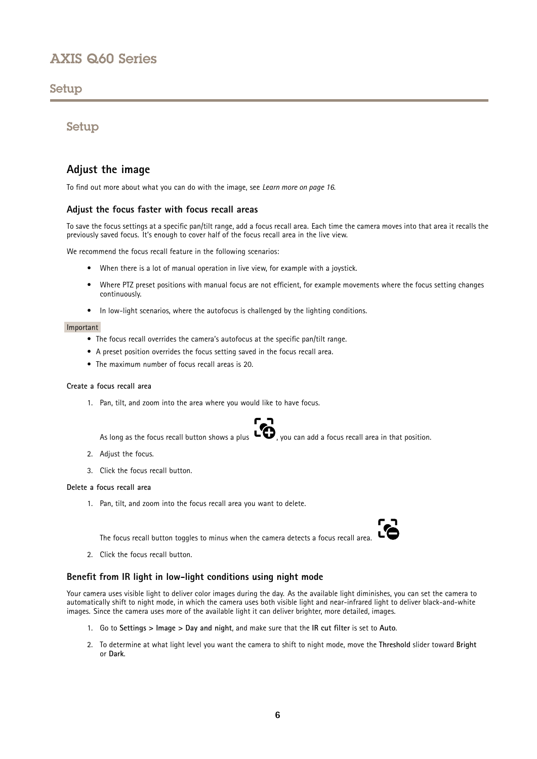## <span id="page-5-0"></span>Setup

## Setup

## **Adjust the image**

To find out more about what you can do with the image, see *[Learn](#page-15-0) more on page [16](#page-15-0)*.

### **Adjust the focus faster with focus recall areas**

To save the focus settings at <sup>a</sup> specific pan/tilt range, add <sup>a</sup> focus recall area. Each time the camera moves into that area it recalls the previously saved focus. It's enough to cover half of the focus recall area in the live view.

We recommend the focus recall feature in the following scenarios:

- When there is <sup>a</sup> lot of manual operation in live view, for example with <sup>a</sup> joystick.
- Where PTZ preset positions with manual focus are not efficient, for example movements where the focus setting changes continuously.
- In low-light scenarios, where the autofocus is challenged by the lighting conditions.

#### Important

- The focus recall overrides the camera's autofocus at the specific pan/tilt range.
- A preset position overrides the focus setting saved in the focus recall area.
- The maximum number of focus recall areas is 20.

#### **Create <sup>a</sup> focus recall area**

1. Pan, tilt, and zoom into the area where you would like to have focus.

As long as the focus recall button shows a plus  $\Box$ , you can add a focus recall area in that position.

- 2. Adjust the focus.
- 3. Click the focus recall button.

#### **Delete <sup>a</sup> focus recall area**

1. Pan, tilt, and zoom into the focus recall area you want to delete.

The focus recall button toggles to minus when the camera detects <sup>a</sup> focus recall area.

2. Click the focus recall button.

### **Benefit from IR light in low-light conditions using night mode**

Your camera uses visible light to deliver color images during the day. As the available light diminishes, you can set the camera to automatically shift to night mode, in which the camera uses both visible light and near-infrared light to deliver black-and-white images. Since the camera uses more of the available light it can deliver brighter, more detailed, images.

- 1. Go to **Settings <sup>&</sup>gt; Image <sup>&</sup>gt; Day and night**, and make sure that the **IR cut filter** is set to **Auto**.
- 2. To determine at what light level you want the camera to shift to night mode, move the **Threshold** slider toward **Bright** or **Dark**.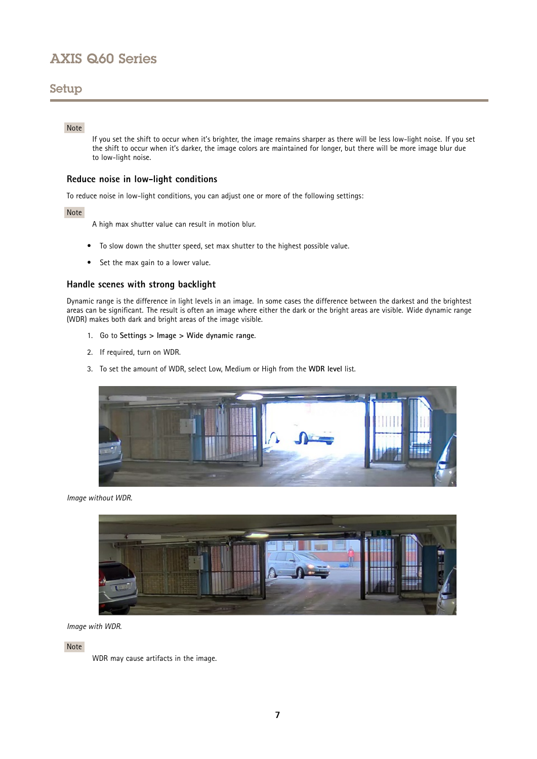## Setup

### Note

If you set the shift to occur when it's brighter, the image remains sharper as there will be less low-light noise. If you set the shift to occur when it's darker, the image colors are maintained for longer, but there will be more image blur due to low-light noise.

### **Reduce noise in low-light conditions**

To reduce noise in low-light conditions, you can adjust one or more of the following settings:

#### Note

A high max shutter value can result in motion blur.

- To slow down the shutter speed, set max shutter to the highest possible value.
- •Set the max gain to <sup>a</sup> lower value.

### **Handle scenes with strong backlight**

Dynamic range is the difference in light levels in an image. In some cases the difference between the darkest and the brightest areas can be significant. The result is often an image where either the dark or the bright areas are visible. Wide dynamic range (WDR) makes both dark and bright areas of the image visible.

- 1. Go to **Settings <sup>&</sup>gt; Image <sup>&</sup>gt; Wide dynamic range**.
- 2. If required, turn on WDR.
- 3. To set the amount of WDR, select Low, Medium or High from the **WDR level** list.



*Image without WDR.*



*Image with WDR.*

Note

WDR may cause artifacts in the image.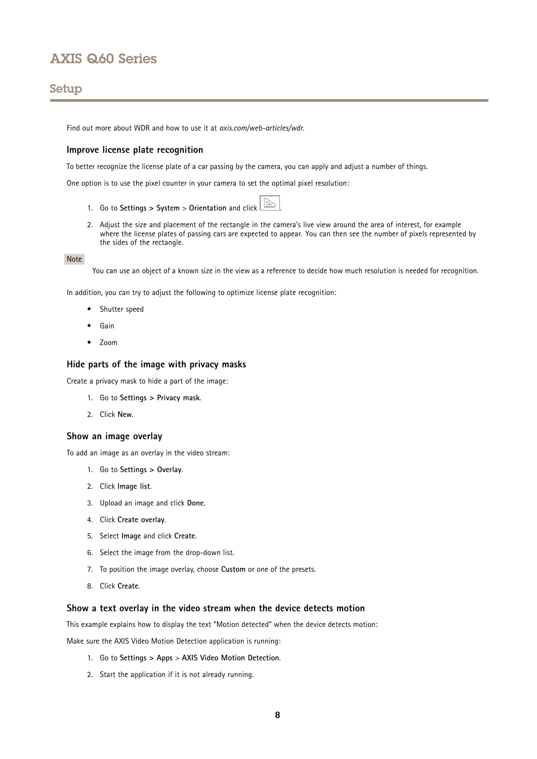## Setup

Find out more about WDR and how to use it at *[axis.com/web-articles/wdr](https://www.axis.com/web-articles/wdr)*.

### **Improve license plate recognition**

To better recognize the license plate of <sup>a</sup> car passing by the camera, you can apply and adjust <sup>a</sup> number of things.

One option is to use the pixel counter in your camera to set the optimal pixel resolution:

- 1. Go to **Settings <sup>&</sup>gt; System** <sup>&</sup>gt; **Orientation** and click .
- 2. Adjust the size and placement of the rectangle in the camera's live view around the area of interest, for example where the license plates of passing cars are expected to appear. You can then see the number of pixels represented by the sides of the rectangle.

#### Note

You can use an object of <sup>a</sup> known size in the view as <sup>a</sup> reference to decide how much resolution is needed for recognition.

In addition, you can try to adjust the following to optimize license plate recognition:

- Shutter speed
- Gain
- Zoom

### **Hide parts of the image with privacy masks**

Create <sup>a</sup> privacy mask to hide <sup>a</sup> part of the image:

- 1. Go to **Settings <sup>&</sup>gt; Privacy mask**.
- 2. Click **New**.

#### **Show an image overlay**

To add an image as an overlay in the video stream:

- 1. Go to **Settings <sup>&</sup>gt; Overlay**.
- 2. Click **Image list**.
- 3. Upload an image and click **Done**.
- 4. Click **Create overlay**.
- 5. Select **Image** and click **Create**.
- 6. Select the image from the drop-down list.
- 7. To position the image overlay, choose **Custom** or one of the presets.
- 8. Click **Create**.

#### **Show <sup>a</sup> text overlay in the video stream when the device detects motion**

This example explains how to display the text "Motion detected" when the device detects motion:

Make sure the AXIS Video Motion Detection application is running:

- 1. Go to **Settings <sup>&</sup>gt; Apps** <sup>&</sup>gt; **AXIS Video Motion Detection**.
- 2. Start the application if it is not already running.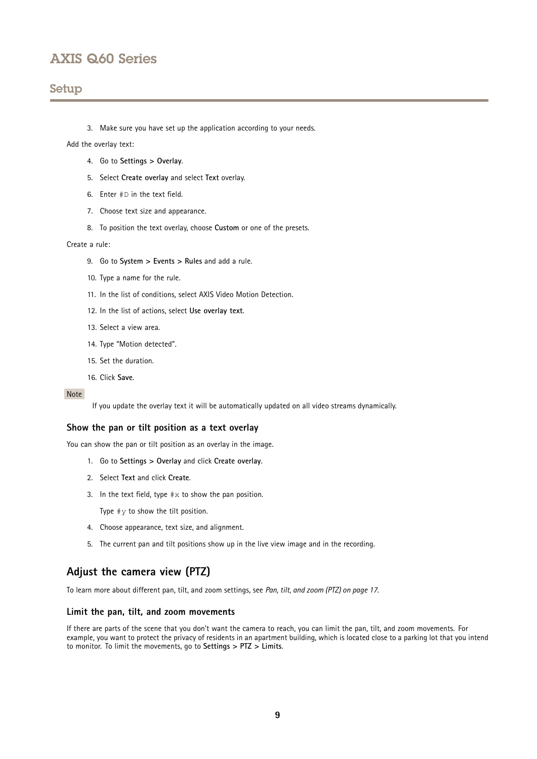## <span id="page-8-0"></span>Setup

3. Make sure you have set up the application according to your needs.

#### Add the overlay text:

- 4. Go to **Settings <sup>&</sup>gt; Overlay**.
- 5. Select **Create overlay** and select **Text** overlay.
- 6. Enter #D in the text field.
- 7. Choose text size and appearance.
- 8. To position the text overlay, choose **Custom** or one of the presets.

#### Create <sup>a</sup> rule:

- 9. Go to **System <sup>&</sup>gt; Events <sup>&</sup>gt; Rules** and add <sup>a</sup> rule.
- 10. Type <sup>a</sup> name for the rule.
- 11. In the list of conditions, select AXIS Video Motion Detection.
- 12. In the list of actions, select **Use overlay text**.
- 13. Select <sup>a</sup> view area.
- 14. Type "Motion detected".
- 15. Set the duration.
- 16. Click **Save**.

### Note

If you update the overlay text it will be automatically updated on all video streams dynamically.

#### **Show the pan or tilt position as <sup>a</sup> text overlay**

You can show the pan or tilt position as an overlay in the image.

- 1. Go to **Settings <sup>&</sup>gt; Overlay** and click **Create overlay**.
- 2. Select **Text** and click **Create**.
- 3. In the text field, type  $\# \times$  to show the pan position.

Type  $\#$ *y* to show the tilt position.

- 4. Choose appearance, text size, and alignment.
- 5. The current pan and tilt positions show up in the live view image and in the recording.

### **Adjust the camera view (PTZ)**

To learn more about different pan, tilt, and zoom settings, see *Pan, tilt, and zoom [\(PTZ\)](#page-16-0) on page [17](#page-16-0)*.

#### **Limit the pan, tilt, and zoom movements**

If there are parts of the scene that you don't want the camera to reach, you can limit the pan, tilt, and zoom movements. For example, you want to protect the privacy of residents in an apartment building, which is located close to <sup>a</sup> parking lot that you intend to monitor. To limit the movements, go to **Settings <sup>&</sup>gt; PTZ <sup>&</sup>gt; Limits**.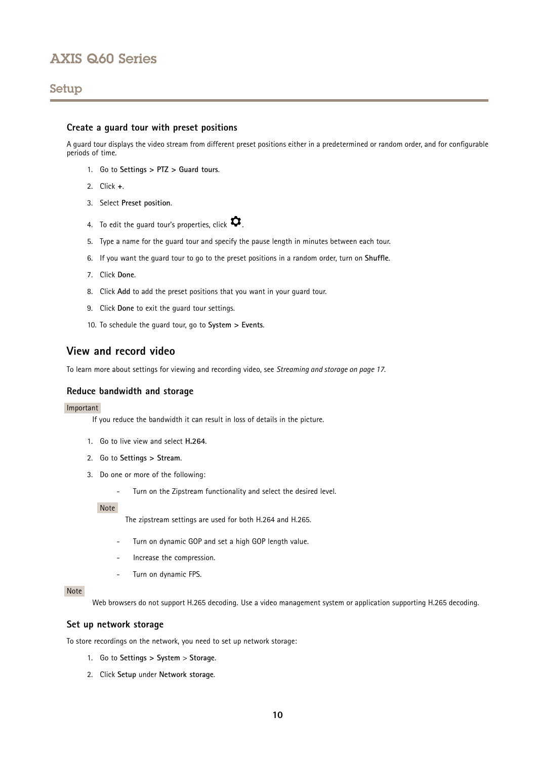## <span id="page-9-0"></span>Setup

### **Create <sup>a</sup> guard tour with preset positions**

A guard tour displays the video stream from different preset positions either in <sup>a</sup> predetermined or random order, and for configurable periods of time.

- 1. Go to **Settings <sup>&</sup>gt; PTZ <sup>&</sup>gt; Guard tours**.
- 2. Click **<sup>+</sup>**.
- 3. Select **Preset position**.
- 4. To edit the guard tour's properties, click  $\boldsymbol{\mathcal{Q}}$ .
- 5. Type <sup>a</sup> name for the guard tour and specify the pause length in minutes between each tour.
- 6. If you want the guard tour to go to the preset positions in <sup>a</sup> random order, turn on **Shuffle**.
- 7. Click **Done**.
- 8. Click **Add** to add the preset positions that you want in your guard tour.
- 9. Click **Done** to exit the guard tour settings.
- 10. To schedule the guard tour, go to **System <sup>&</sup>gt; Events**.

## **View and record video**

To learn more about settings for viewing and recording video, see *[Streaming](#page-16-0) and storage on page [17](#page-16-0)*.

#### **Reduce bandwidth and storage**

#### Important

If you reduce the bandwidth it can result in loss of details in the picture.

- 1. Go to live view and select **H.264**.
- 2. Go to **Settings <sup>&</sup>gt; Stream**.
- 3. Do one or more of the following:
	- Turn on the Zipstream functionality and select the desired level.

Note

The zipstream settings are used for both H.264 and H.265.

- Turn on dynamic GOP and set <sup>a</sup> high GOP length value.
- Increase the compression.
- Turn on dynamic FPS.

### Note

Web browsers do not support H.265 decoding. Use <sup>a</sup> video management system or application supporting H.265 decoding.

#### **Set up network storage**

To store recordings on the network, you need to set up network storage:

- 1. Go to **Settings <sup>&</sup>gt; System** <sup>&</sup>gt; **Storage**.
- 2. Click **Setup** under **Network storage**.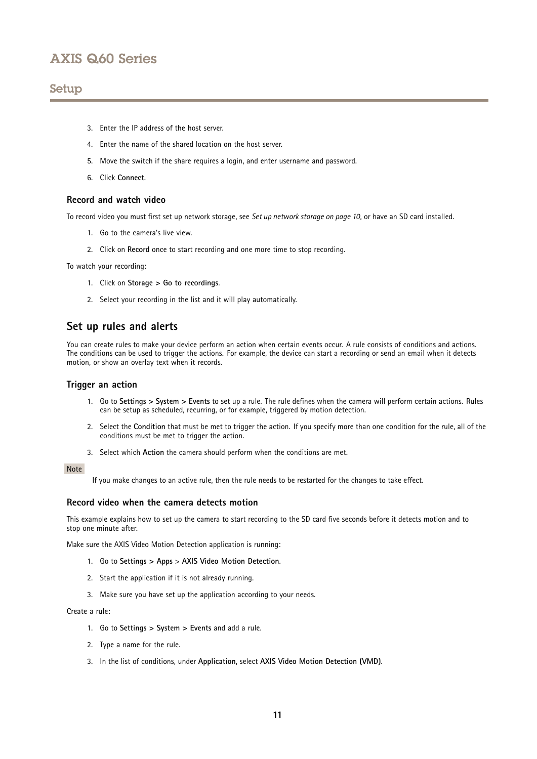### <span id="page-10-0"></span>Setup

- 3. Enter the IP address of the host server.
- 4. Enter the name of the shared location on the host server.
- 5. Move the switch if the share requires <sup>a</sup> login, and enter username and password.
- 6. Click **Connect**.

### **Record and watch video**

To record video you must first set up network storage, see *Set up network [storage](#page-9-0) on page [10](#page-9-0)*, or have an SD card installed.

- 1. Go to the camera's live view.
- 2. Click on **Record** once to start recording and one more time to stop recording.

To watch your recording:

- 1. Click on **Storage <sup>&</sup>gt; Go to recordings**.
- 2. Select your recording in the list and it will play automatically.

## **Set up rules and alerts**

You can create rules to make your device perform an action when certain events occur. A rule consists of conditions and actions. The conditions can be used to trigger the actions. For example, the device can start <sup>a</sup> recording or send an email when it detects motion, or show an overlay text when it records.

### **Trigger an action**

- 1. Go to **Settings <sup>&</sup>gt; System <sup>&</sup>gt; Events** to set up <sup>a</sup> rule. The rule defines when the camera will perform certain actions. Rules can be setup as scheduled, recurring, or for example, triggered by motion detection.
- 2. Select the **Condition** that must be met to trigger the action. If you specify more than one condition for the rule, all of the conditions must be met to trigger the action.
- 3. Select which **Action** the camera should perform when the conditions are met.

#### Note

If you make changes to an active rule, then the rule needs to be restarted for the changes to take effect.

### **Record video when the camera detects motion**

This example explains how to set up the camera to start recording to the SD card five seconds before it detects motion and to stop one minute after.

Make sure the AXIS Video Motion Detection application is running:

- 1. Go to **Settings <sup>&</sup>gt; Apps** <sup>&</sup>gt; **AXIS Video Motion Detection**.
- 2. Start the application if it is not already running.
- 3. Make sure you have set up the application according to your needs.

#### Create <sup>a</sup> rule:

- 1. Go to **Settings <sup>&</sup>gt; System <sup>&</sup>gt; Events** and add <sup>a</sup> rule.
- 2. Type <sup>a</sup> name for the rule.
- 3. In the list of conditions, under **Application**, select **AXIS Video Motion Detection (VMD)**.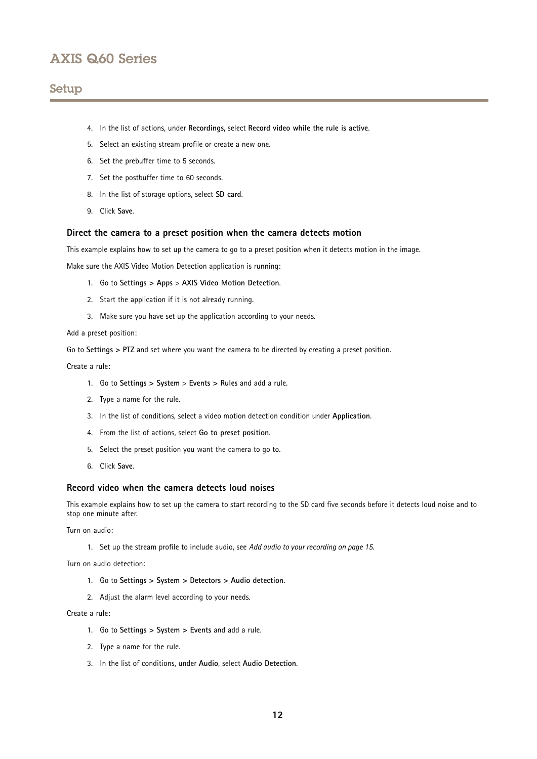## Setup

- 4. In the list of actions, under **Recordings**, select **Record video while the rule is active**.
- 5. Select an existing stream profile or create <sup>a</sup> new one.
- 6. Set the prebuffer time to 5 seconds.
- 7. Set the postbuffer time to 60 seconds.
- 8. In the list of storage options, select **SD card**.
- 9. Click **Save**.

### **Direct the camera to <sup>a</sup> preset position when the camera detects motion**

This example explains how to set up the camera to go to <sup>a</sup> preset position when it detects motion in the image.

Make sure the AXIS Video Motion Detection application is running:

- 1. Go to **Settings <sup>&</sup>gt; Apps** <sup>&</sup>gt; **AXIS Video Motion Detection**.
- 2. Start the application if it is not already running.
- 3. Make sure you have set up the application according to your needs.

Add <sup>a</sup> preset position:

Go to **Settings <sup>&</sup>gt; PTZ** and set where you want the camera to be directed by creating <sup>a</sup> preset position.

Create <sup>a</sup> rule:

- 1. Go to **Settings <sup>&</sup>gt; System** <sup>&</sup>gt; **Events <sup>&</sup>gt; Rules** and add <sup>a</sup> rule.
- 2. Type <sup>a</sup> name for the rule.
- 3. In the list of conditions, select <sup>a</sup> video motion detection condition under **Application**.
- 4. From the list of actions, select **Go to preset position**.
- 5. Select the preset position you want the camera to go to.
- 6. Click **Save**.

### **Record video when the camera detects loud noises**

This example explains how to set up the camera to start recording to the SD card five seconds before it detects loud noise and to stop one minute after.

Turn on audio:

1. Set up the stream profile to include audio, see *Add audio to your [recording](#page-14-0) on page [15](#page-14-0)*.

Turn on audio detection:

- 1. Go to **Settings <sup>&</sup>gt; System <sup>&</sup>gt; Detectors <sup>&</sup>gt; Audio detection**.
- 2. Adjust the alarm level according to your needs.

Create <sup>a</sup> rule:

- 1. Go to **Settings <sup>&</sup>gt; System <sup>&</sup>gt; Events** and add <sup>a</sup> rule.
- 2. Type <sup>a</sup> name for the rule.
- 3. In the list of conditions, under **Audio**, select **Audio Detection**.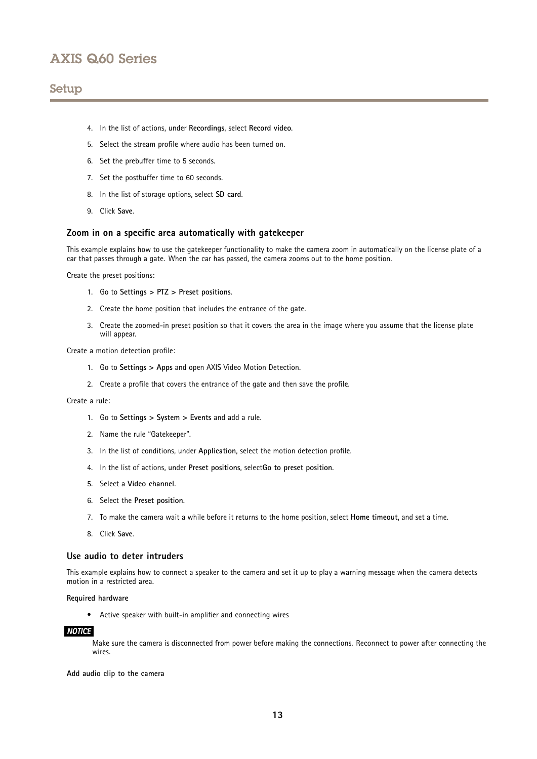## Setup

- 4. In the list of actions, under **Recordings**, select **Record video**.
- 5. Select the stream profile where audio has been turned on.
- 6. Set the prebuffer time to 5 seconds.
- 7. Set the postbuffer time to 60 seconds.
- 8. In the list of storage options, select **SD card**.
- 9. Click **Save**.

### **Zoom in on <sup>a</sup> specific area automatically with gatekeeper**

This example explains how to use the gatekeeper functionality to make the camera zoom in automatically on the license plate of <sup>a</sup> car that passes through <sup>a</sup> gate. When the car has passed, the camera zooms out to the home position.

Create the preset positions:

- 1. Go to **Settings <sup>&</sup>gt; PTZ <sup>&</sup>gt; Preset positions**.
- 2. Create the home position that includes the entrance of the gate.
- 3. Create the zoomed-in preset position so that it covers the area in the image where you assume that the license plate will appear.

Create <sup>a</sup> motion detection profile:

- 1. Go to **Settings <sup>&</sup>gt; Apps** and open AXIS Video Motion Detection.
- 2. Create <sup>a</sup> profile that covers the entrance of the gate and then save the profile.

Create <sup>a</sup> rule:

- 1. Go to **Settings <sup>&</sup>gt; System <sup>&</sup>gt; Events** and add <sup>a</sup> rule.
- 2. Name the rule "Gatekeeper".
- 3. In the list of conditions, under **Application**, select the motion detection profile.
- 4. In the list of actions, under **Preset positions**, select**Go to preset position**.
- 5. Select <sup>a</sup> **Video channel**.
- 6. Select the **Preset position**.
- 7. To make the camera wait <sup>a</sup> while before it returns to the home position, select **Home timeout**, and set <sup>a</sup> time.
- 8. Click **Save**.

### **Use audio to deter intruders**

This example explains how to connect <sup>a</sup> speaker to the camera and set it up to play <sup>a</sup> warning message when the camera detects motion in a restricted area.

#### **Required hardware**

• Active speaker with built-in amplifier and connecting wires

#### *NOTICE*

Make sure the camera is disconnected from power before making the connections. Reconnect to power after connecting the wires.

**Add audio clip to the camera**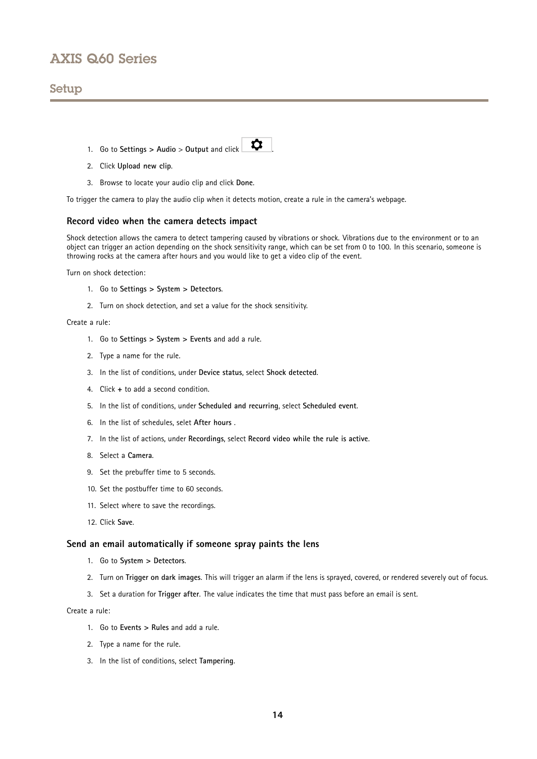## Setup

- 1. Go to Settings  $>$  Audio  $>$  Output and click  $\Box$
- 2. Click **Upload new clip**.
- 3. Browse to locate your audio clip and click **Done**.

To trigger the camera to play the audio clip when it detects motion, create <sup>a</sup> rule in the camera's webpage.

### **Record video when the camera detects impact**

Shock detection allows the camera to detect tampering caused by vibrations or shock. Vibrations due to the environment or to an object can trigger an action depending on the shock sensitivity range, which can be set from 0 to 100. In this scenario, someone is throwing rocks at the camera after hours and you would like to get <sup>a</sup> video clip of the event.

Turn on shock detection:

- 1. Go to **Settings <sup>&</sup>gt; System <sup>&</sup>gt; Detectors**.
- 2. Turn on shock detection, and set <sup>a</sup> value for the shock sensitivity.

### Create <sup>a</sup> rule:

- 1. Go to **Settings <sup>&</sup>gt; System <sup>&</sup>gt; Events** and add <sup>a</sup> rule.
- 2. Type <sup>a</sup> name for the rule.
- 3. In the list of conditions, under **Device status**, select **Shock detected**.
- 4. Click **<sup>+</sup>** to add <sup>a</sup> second condition.
- 5. In the list of conditions, under **Scheduled and recurring**, select **Scheduled event**.
- 6. In the list of schedules, selet **After hours** .
- 7. In the list of actions, under **Recordings**, select **Record video while the rule is active**.
- 8. Select <sup>a</sup> **Camera**.
- 9. Set the prebuffer time to 5 seconds.
- 10. Set the postbuffer time to 60 seconds.
- 11. Select where to save the recordings.
- 12. Click **Save**.

#### **Send an email automatically if someone spray paints the lens**

- 1. Go to **System <sup>&</sup>gt; Detectors**.
- 2. Turn on **Trigger on dark images**. This will trigger an alarm if the lens is sprayed, covered, or rendered severely out of focus.
- 3. Set <sup>a</sup> duration for **Trigger after**. The value indicates the time that must pass before an email is sent.

#### Create <sup>a</sup> rule:

- 1. Go to **Events <sup>&</sup>gt; Rules** and add <sup>a</sup> rule.
- 2. Type <sup>a</sup> name for the rule.
- 3. In the list of conditions, select **Tampering**.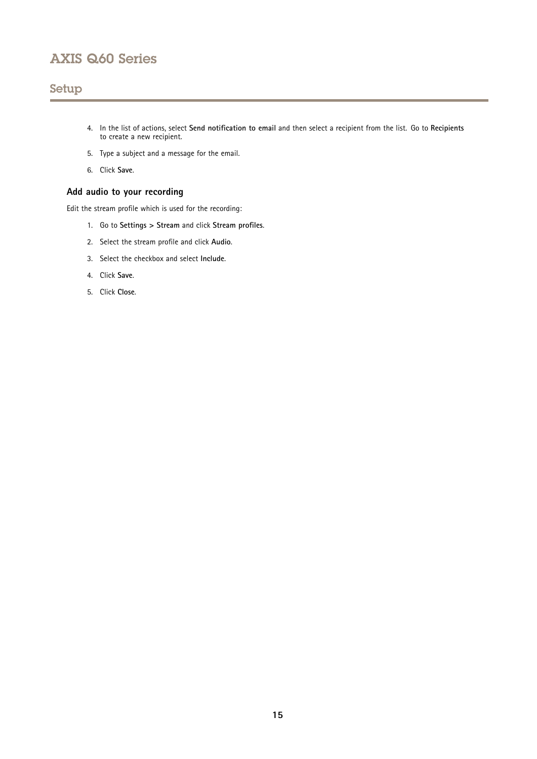## <span id="page-14-0"></span>Setup

- 4. In the list of actions, select **Send notification to email** and then select <sup>a</sup> recipient from the list. Go to **Recipients** to create <sup>a</sup> new recipient.
- 5. Type <sup>a</sup> subject and <sup>a</sup> message for the email.
- 6. Click **Save**.

### **Add audio to your recording**

Edit the stream profile which is used for the recording:

- 1. Go to **Settings <sup>&</sup>gt; Stream** and click **Stream profiles**.
- 2. Select the stream profile and click **Audio**.
- 3. Select the checkbox and select **Include**.
- 4. Click **Save**.
- 5. Click **Close**.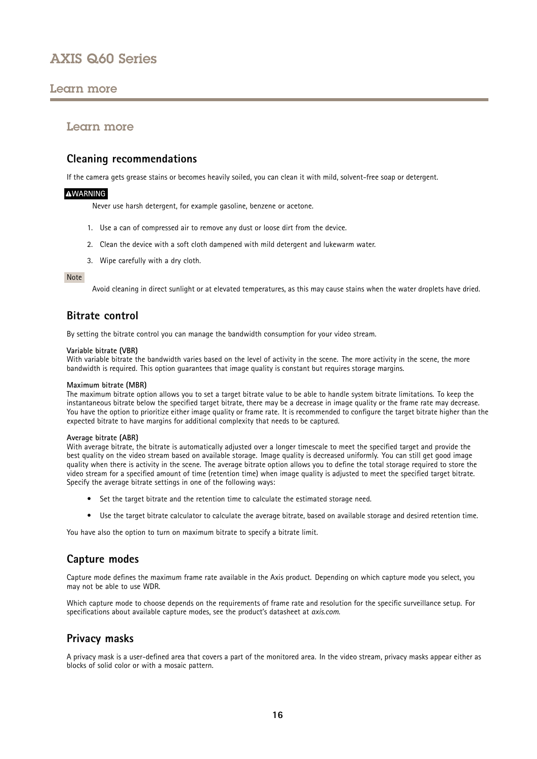## <span id="page-15-0"></span>Learn more

### Learn more

## **Cleaning recommendations**

If the camera gets grease stains or becomes heavily soiled, you can clean it with mild, solvent-free soap or detergent.

### **WARNING**

Never use harsh detergent, for example gasoline, benzene or acetone.

- 1. Use <sup>a</sup> can of compressed air to remove any dust or loose dirt from the device.
- 2. Clean the device with <sup>a</sup> soft cloth dampened with mild detergent and lukewarm water.
- 3. Wipe carefully with <sup>a</sup> dry cloth.

#### Note

Avoid cleaning in direct sunlight or at elevated temperatures, as this may cause stains when the water droplets have dried.

## **Bitrate control**

By setting the bitrate control you can manage the bandwidth consumption for your video stream.

#### **Variable bitrate (VBR)**

With variable bitrate the bandwidth varies based on the level of activity in the scene. The more activity in the scene, the more bandwidth is required. This option guarantees that image quality is constant but requires storage margins.

#### **Maximum bitrate (MBR)**

The maximum bitrate option allows you to set <sup>a</sup> target bitrate value to be able to handle system bitrate limitations. To keep the instantaneous bitrate below the specified target bitrate, there may be <sup>a</sup> decrease in image quality or the frame rate may decrease. You have the option to prioritize either image quality or frame rate. It is recommended to configure the target bitrate higher than the expected bitrate to have margins for additional complexity that needs to be captured.

#### **Average bitrate (ABR)**

With average bitrate, the bitrate is automatically adjusted over <sup>a</sup> longer timescale to meet the specified target and provide the best quality on the video stream based on available storage. Image quality is decreased uniformly. You can still get good image quality when there is activity in the scene. The average bitrate option allows you to define the total storage required to store the video stream for <sup>a</sup> specified amount of time (retention time) when image quality is adjusted to meet the specified target bitrate. Specify the average bitrate settings in one of the following ways:

- Set the target bitrate and the retention time to calculate the estimated storage need.
- Use the target bitrate calculator to calculate the average bitrate, based on available storage and desired retention time.

You have also the option to turn on maximum bitrate to specify <sup>a</sup> bitrate limit.

## **Capture modes**

Capture mode defines the maximum frame rate available in the Axis product. Depending on which capture mode you select, you may not be able to use WDR.

Which capture mode to choose depends on the requirements of frame rate and resolution for the specific surveillance setup. For specifications about available capture modes, see the product's datasheet at *[axis.com](https://www.axis.com)*.

### **Privacy masks**

A privacy mask is <sup>a</sup> user-defined area that covers <sup>a</sup> part of the monitored area. In the video stream, privacy masks appear either as blocks of solid color or with <sup>a</sup> mosaic pattern.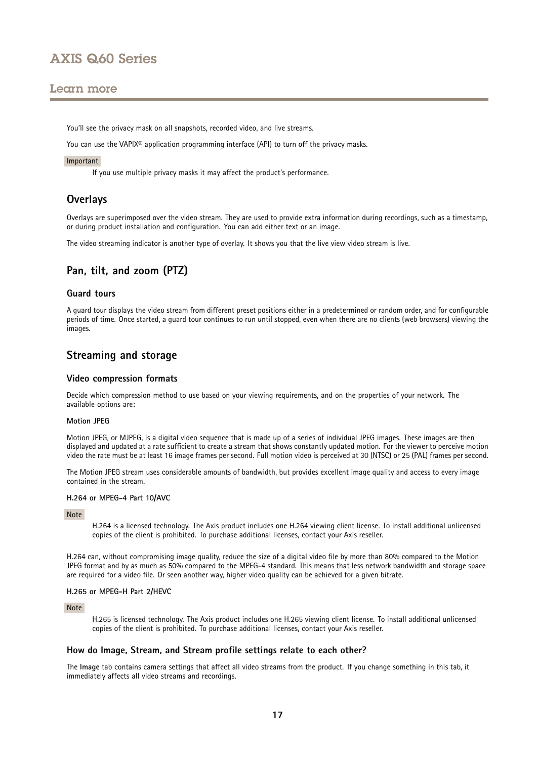### <span id="page-16-0"></span>Learn more

You'll see the privacy mask on all snapshots, recorded video, and live streams.

You can use the VAPIX® application programming interface (API) to turn off the privacy masks.

#### Important

If you use multiple privacy masks it may affect the product's performance.

### **Overlays**

Overlays are superimposed over the video stream. They are used to provide extra information during recordings, such as <sup>a</sup> timestamp, or during product installation and configuration. You can add either text or an image.

The video streaming indicator is another type of overlay. It shows you that the live view video stream is live.

### **Pan, tilt, and zoom (PTZ)**

### **Guard tours**

A guard tour displays the video stream from different preset positions either in <sup>a</sup> predetermined or random order, and for configurable periods of time. Once started, <sup>a</sup> guard tour continues to run until stopped, even when there are no clients (web browsers) viewing the images.

### **Streaming and storage**

#### **Video compression formats**

Decide which compression method to use based on your viewing requirements, and on the properties of your network. The available options are:

#### **Motion JPEG**

Motion JPEG, or MJPEG, is <sup>a</sup> digital video sequence that is made up of <sup>a</sup> series of individual JPEG images. These images are then displayed and updated at <sup>a</sup> rate sufficient to create <sup>a</sup> stream that shows constantly updated motion. For the viewer to perceive motion video the rate must be at least <sup>16</sup> image frames per second. Full motion video is perceived at <sup>30</sup> (NTSC) or <sup>25</sup> (PAL) frames per second.

The Motion JPEG stream uses considerable amounts of bandwidth, but provides excellent image quality and access to every image contained in the stream.

#### **H.264 or MPEG-4 Part 10/AVC**

#### Note

H.264 is <sup>a</sup> licensed technology. The Axis product includes one H.264 viewing client license. To install additional unlicensed copies of the client is prohibited. To purchase additional licenses, contact your Axis reseller.

H.264 can, without compromising image quality, reduce the size of <sup>a</sup> digital video file by more than 80% compared to the Motion JPEG format and by as much as 50% compared to the MPEG-4 standard. This means that less network bandwidth and storage space are required for <sup>a</sup> video file. Or seen another way, higher video quality can be achieved for <sup>a</sup> given bitrate.

#### **H.265 or MPEG-H Part 2/HEVC**

#### Note

H.265 is licensed technology. The Axis product includes one H.265 viewing client license. To install additional unlicensed copies of the client is prohibited. To purchase additional licenses, contact your Axis reseller.

#### **How do Image, Stream, and Stream profile settings relate to each other?**

The **Image** tab contains camera settings that affect all video streams from the product. If you change something in this tab, it immediately affects all video streams and recordings.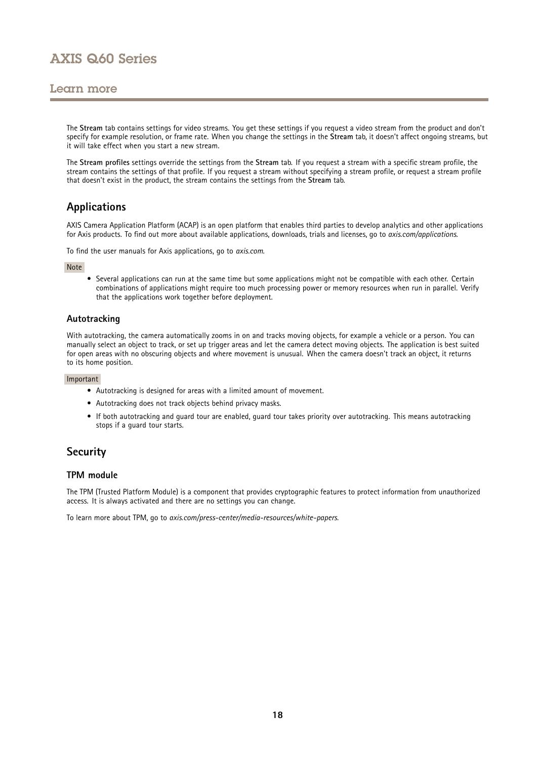## <span id="page-17-0"></span>Learn more

The **Stream** tab contains settings for video streams. You get these settings if you request <sup>a</sup> video stream from the product and don't specify for example resolution, or frame rate. When you change the settings in the **Stream** tab, it doesn't affect ongoing streams, but it will take effect when you start <sup>a</sup> new stream.

The **Stream profiles** settings override the settings from the **Stream** tab. If you request <sup>a</sup> stream with <sup>a</sup> specific stream profile, the stream contains the settings of that profile. If you request <sup>a</sup> stream without specifying <sup>a</sup> stream profile, or request <sup>a</sup> stream profile that doesn't exist in the product, the stream contains the settings from the **Stream** tab.

## **Applications**

AXIS Camera Application Platform (ACAP) is an open platform that enables third parties to develop analytics and other applications for Axis products. To find out more about available applications, downloads, trials and licenses, go to *[axis.com/applications](https://www.axis.com/applications)*.

To find the user manuals for Axis applications, go to *[axis.com](https://www.axis.com)*.

#### Note

• Several applications can run at the same time but some applications might not be compatible with each other. Certain combinations of applications might require too much processing power or memory resources when run in parallel. Verify that the applications work together before deployment.

### **Autotracking**

With autotracking, the camera automatically zooms in on and tracks moving objects, for example <sup>a</sup> vehicle or <sup>a</sup> person. You can manually select an object to track, or set up trigger areas and let the camera detect moving objects. The application is best suited for open areas with no obscuring objects and where movement is unusual. When the camera doesn't track an object, it returns to its home position.

#### Important

- Autotracking is designed for areas with <sup>a</sup> limited amount of movement.
- Autotracking does not track objects behind privacy masks.
- If both autotracking and guard tour are enabled, guard tour takes priority over autotracking. This means autotracking stops if <sup>a</sup> guard tour starts.

## **Security**

#### **TPM module**

The TPM (Trusted Platform Module) is <sup>a</sup> component that provides cryptographic features to protect information from unauthorized access. It is always activated and there are no settings you can change.

To learn more about TPM, go to *[axis.com/press-center/media-resources/white-papers](https://www.axis.com/press-center/media-resources/white-papers)*.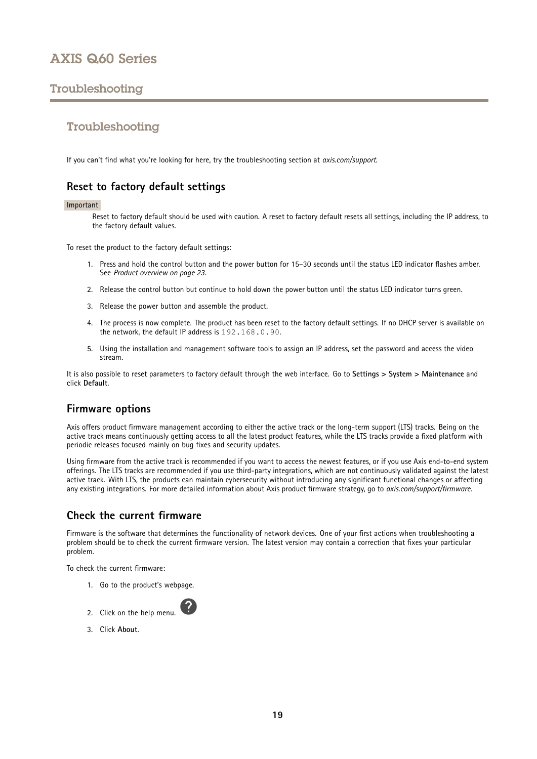# <span id="page-18-0"></span>Troubleshooting

## Troubleshooting

If you can't find what you're looking for here, try the troubleshooting section at *[axis.com/support](https://www.axis.com/support)*.

## **Reset to factory default settings**

#### Important

Reset to factory default should be used with caution. A reset to factory default resets all settings, including the IP address, to the factory default values.

To reset the product to the factory default settings:

- 1. Press and hold the control button and the power button for 15–30 seconds until the status LED indicator flashes amber. See *Product [overview](#page-22-0) on page [23](#page-22-0)*.
- 2. Release the control button but continue to hold down the power button until the status LED indicator turns green.
- 3. Release the power button and assemble the product.
- 4. The process is now complete. The product has been reset to the factory default settings. If no DHCP server is available on the network, the default IP address is 192.168.0.90.
- 5. Using the installation and management software tools to assign an IP address, set the password and access the video stream.

It is also possible to reset parameters to factory default through the web interface. Go to **Settings <sup>&</sup>gt; System <sup>&</sup>gt; Maintenance** and click **Default**.

## **Firmware options**

Axis offers product firmware management according to either the active track or the long-term support (LTS) tracks. Being on the active track means continuously getting access to all the latest product features, while the LTS tracks provide <sup>a</sup> fixed platform with periodic releases focused mainly on bug fixes and security updates.

Using firmware from the active track is recommended if you want to access the newest features, or if you use Axis end-to-end system offerings. The LTS tracks are recommended if you use third-party integrations, which are not continuously validated against the latest active track. With LTS, the products can maintain cybersecurity without introducing any significant functional changes or affecting any existing integrations. For more detailed information about Axis product firmware strategy, go to *[axis.com/support/firmware](https://www.axis.com/support/firmware)*.

### **Check the current firmware**

Firmware is the software that determines the functionality of network devices. One of your first actions when troubleshooting <sup>a</sup> problem should be to check the current firmware version. The latest version may contain <sup>a</sup> correction that fixes your particular problem.

To check the current firmware:

- 1. Go to the product's webpage.
- 2. Click on the help menu.
- 3. Click **About**.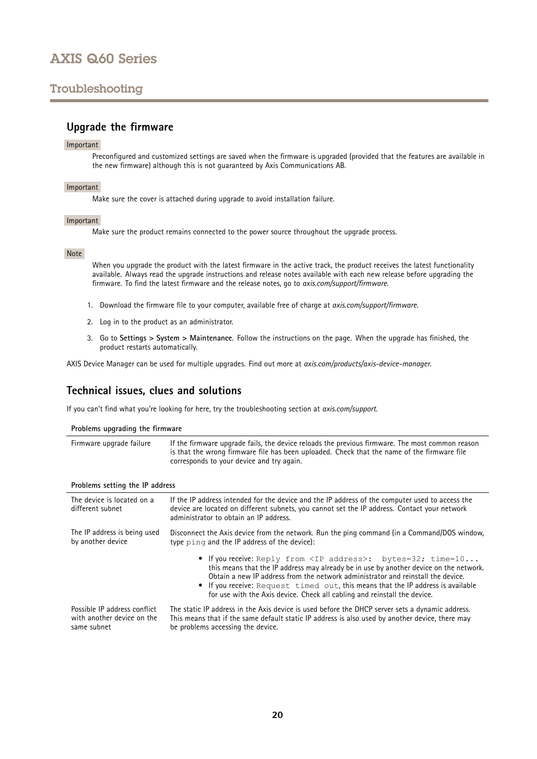# <span id="page-19-0"></span>Troubleshooting

### **Upgrade the firmware**

#### Important

Preconfigured and customized settings are saved when the firmware is upgraded (provided that the features are available in the new firmware) although this is not guaranteed by Axis Communications AB.

#### Important

Make sure the cover is attached during upgrade to avoid installation failure.

#### Important

Make sure the product remains connected to the power source throughout the upgrade process.

#### Note

When you upgrade the product with the latest firmware in the active track, the product receives the latest functionality available. Always read the upgrade instructions and release notes available with each new release before upgrading the firmware. To find the latest firmware and the release notes, go to *[axis.com/support/firmware](https://www.axis.com/support/firmware)*.

- 1. Download the firmware file to your computer, available free of charge at *[axis.com/support/firmware](https://www.axis.com/support/firmware)*.
- 2. Log in to the product as an administrator.
- 3. Go to **Settings <sup>&</sup>gt; System <sup>&</sup>gt; Maintenance**. Follow the instructions on the page. When the upgrade has finished, the product restarts automatically.

AXIS Device Manager can be used for multiple upgrades. Find out more at *[axis.com/products/axis-device-manager](https://www.axis.com/products/axis-device-manager)*.

### **Technical issues, clues and solutions**

If you can't find what you're looking for here, try the troubleshooting section at *[axis.com/support](https://www.axis.com/support)*.

#### **Problems upgrading the firmware**

| Firmware upgrade failure | If the firmware upgrade fails, the device reloads the previous firmware. The most common reason<br>is that the wrong firmware file has been uploaded. Check that the name of the firmware file<br>corresponds to your device and try again. |
|--------------------------|---------------------------------------------------------------------------------------------------------------------------------------------------------------------------------------------------------------------------------------------|
|--------------------------|---------------------------------------------------------------------------------------------------------------------------------------------------------------------------------------------------------------------------------------------|

#### **Problems setting the IP address**

| The device is located on a<br>different subnet | If the IP address intended for the device and the IP address of the computer used to access the<br>device are located on different subnets, you cannot set the IP address. Contact your network<br>administrator to obtain an IP address.                                                                                                                                                                               |  |
|------------------------------------------------|-------------------------------------------------------------------------------------------------------------------------------------------------------------------------------------------------------------------------------------------------------------------------------------------------------------------------------------------------------------------------------------------------------------------------|--|
| The IP address is being used                   | Disconnect the Axis device from the network. Run the ping command (in a Command/DOS window,                                                                                                                                                                                                                                                                                                                             |  |
| by another device                              | type ping and the IP address of the device):                                                                                                                                                                                                                                                                                                                                                                            |  |
|                                                | • If you receive: Reply from <ip address="">: bytes=32; time=10<br/>this means that the IP address may already be in use by another device on the network.<br/>Obtain a new IP address from the network administrator and reinstall the device.<br/>• If you receive: Request timed out, this means that the IP address is available<br/>for use with the Axis device. Check all cabling and reinstall the device.</ip> |  |
| Possible IP address conflict                   | The static IP address in the Axis device is used before the DHCP server sets a dynamic address.                                                                                                                                                                                                                                                                                                                         |  |
| with another device on the                     | This means that if the same default static IP address is also used by another device, there may                                                                                                                                                                                                                                                                                                                         |  |
| same subnet                                    | be problems accessing the device.                                                                                                                                                                                                                                                                                                                                                                                       |  |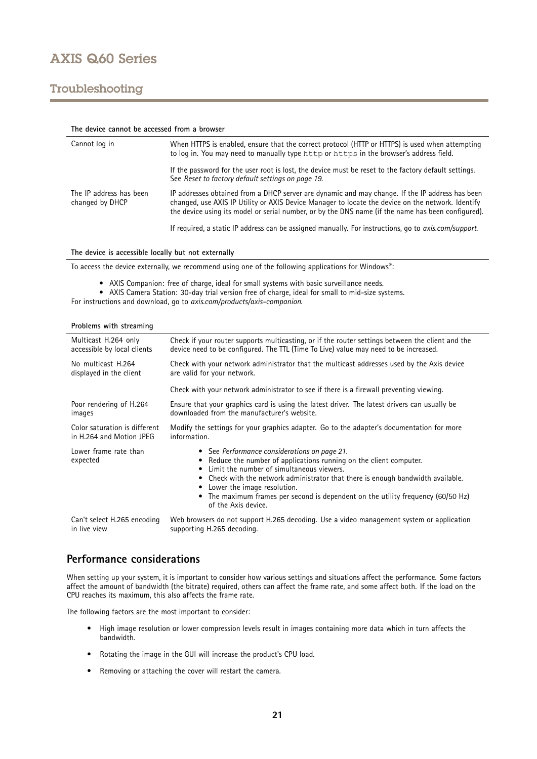## <span id="page-20-0"></span>Troubleshooting

| The device cannot be accessed from a browser |                                                                                                                                                                                                                                                                                                            |  |  |
|----------------------------------------------|------------------------------------------------------------------------------------------------------------------------------------------------------------------------------------------------------------------------------------------------------------------------------------------------------------|--|--|
| Cannot log in                                | When HTTPS is enabled, ensure that the correct protocol (HTTP or HTTPS) is used when attempting<br>to log in. You may need to manually type http or https in the browser's address field.                                                                                                                  |  |  |
|                                              | If the password for the user root is lost, the device must be reset to the factory default settings.<br>See Reset to factory default settings on page 19.                                                                                                                                                  |  |  |
| The IP address has been<br>changed by DHCP   | IP addresses obtained from a DHCP server are dynamic and may change. If the IP address has been<br>changed, use AXIS IP Utility or AXIS Device Manager to locate the device on the network. Identify<br>the device using its model or serial number, or by the DNS name (if the name has been configured). |  |  |
|                                              | If required, a static IP address can be assigned manually. For instructions, go to <i>axis.com/support.</i>                                                                                                                                                                                                |  |  |

#### **The device is accessible locally but not externally**

To access the device externally, we recommend using one of the following applications for Windows® :

- AXIS Companion: free of charge, ideal for small systems with basic surveillance needs.
- AXIS Camera Station: 30-day trial version free of charge, ideal for small to mid-size systems.

For instructions and download, go to *[axis.com/products/axis-companion](https://www.axis.com/products/axis-companion)*.

| Problems with streaming           |                                                                                                                                                                                                                                                                                                                                                                                            |
|-----------------------------------|--------------------------------------------------------------------------------------------------------------------------------------------------------------------------------------------------------------------------------------------------------------------------------------------------------------------------------------------------------------------------------------------|
| Multicast H.264 only              | Check if your router supports multicasting, or if the router settings between the client and the                                                                                                                                                                                                                                                                                           |
| accessible by local clients       | device need to be configured. The TTL (Time To Live) value may need to be increased.                                                                                                                                                                                                                                                                                                       |
| No multicast H.264                | Check with your network administrator that the multicast addresses used by the Axis device                                                                                                                                                                                                                                                                                                 |
| displayed in the client           | are valid for your network.                                                                                                                                                                                                                                                                                                                                                                |
|                                   | Check with your network administrator to see if there is a firewall preventing viewing.                                                                                                                                                                                                                                                                                                    |
| Poor rendering of H.264           | Ensure that your graphics card is using the latest driver. The latest drivers can usually be                                                                                                                                                                                                                                                                                               |
| images                            | downloaded from the manufacturer's website.                                                                                                                                                                                                                                                                                                                                                |
| Color saturation is different     | Modify the settings for your graphics adapter. Go to the adapter's documentation for more                                                                                                                                                                                                                                                                                                  |
| in H.264 and Motion JPEG          | information.                                                                                                                                                                                                                                                                                                                                                                               |
| Lower frame rate than<br>expected | • See Performance considerations on page 21.<br>Reduce the number of applications running on the client computer.<br>Limit the number of simultaneous viewers.<br>• Check with the network administrator that there is enough bandwidth available.<br>Lower the image resolution.<br>The maximum frames per second is dependent on the utility frequency (60/50 Hz)<br>of the Axis device. |
| Can't select H.265 encoding       | Web browsers do not support H.265 decoding. Use a video management system or application                                                                                                                                                                                                                                                                                                   |
| in live view                      | supporting H.265 decoding.                                                                                                                                                                                                                                                                                                                                                                 |

### **Performance considerations**

When setting up your system, it is important to consider how various settings and situations affect the performance. Some factors affect the amount of bandwidth (the bitrate) required, others can affect the frame rate, and some affect both. If the load on the CPU reaches its maximum, this also affects the frame rate.

The following factors are the most important to consider:

- • High image resolution or lower compression levels result in images containing more data which in turn affects the bandwidth.
- Rotating the image in the GUI will increase the product's CPU load.
- Removing or attaching the cover will restart the camera.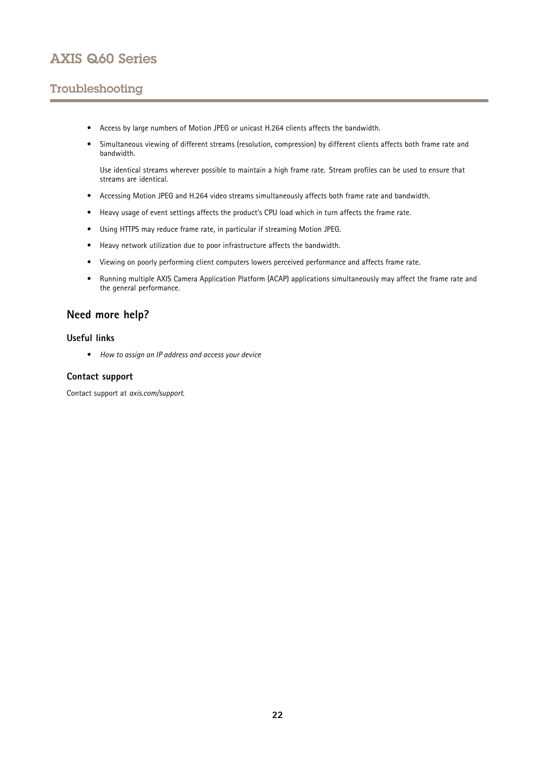# <span id="page-21-0"></span>Troubleshooting

- Access by large numbers of Motion JPEG or unicast H.264 clients affects the bandwidth.
- • Simultaneous viewing of different streams (resolution, compression) by different clients affects both frame rate and bandwidth.

Use identical streams wherever possible to maintain <sup>a</sup> high frame rate. Stream profiles can be used to ensure that streams are identical.

- Accessing Motion JPEG and H.264 video streams simultaneously affects both frame rate and bandwidth.
- Heavy usage of event settings affects the product's CPU load which in turn affects the frame rate.
- Using HTTPS may reduce frame rate, in particular if streaming Motion JPEG.
- Heavy network utilization due to poor infrastructure affects the bandwidth.
- •Viewing on poorly performing client computers lowers perceived performance and affects frame rate.
- • Running multiple AXIS Camera Application Platform (ACAP) applications simultaneously may affect the frame rate and the general performance.

### **Need more help?**

### **Useful links**

• *How to assign an IP [address](https://www.axis.com/files/manuals/um_howtoassignanipaddressandaccessyourdevice_t10118032_en_1811.pdf) and access your device*

### **Contact support**

Contact support at *[axis.com/support](https://www.axis.com/support)*.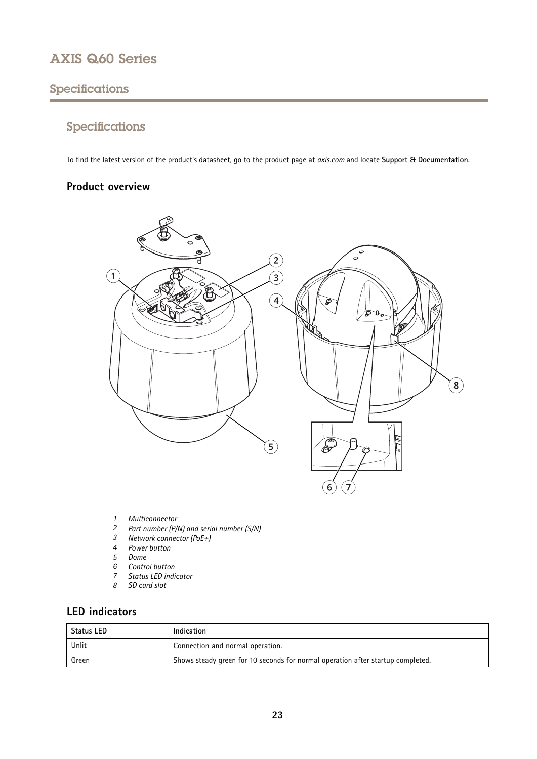# <span id="page-22-0"></span>Specifications

# Specifications

To find the latest version of the product's datasheet, go to the product page at *[axis.com](https://www.axis.com)* and locate **Support & Documentation**.

## **Product overview**



- *1 Multiconnector*
- *<sup>2</sup> Part number (P/N) and serial number (S/N)*
- *3 Network connector (PoE+)*
- *4 Power button*
- *5 Dome*
- *6 Control button*
- *7 Status LED indicator*
- *8 SD card slot*

# **LED indicators**

| <b>Status LED</b> | Indication                                                                      |
|-------------------|---------------------------------------------------------------------------------|
| Unlit             | Connection and normal operation.                                                |
| Green             | Shows steady green for 10 seconds for normal operation after startup completed. |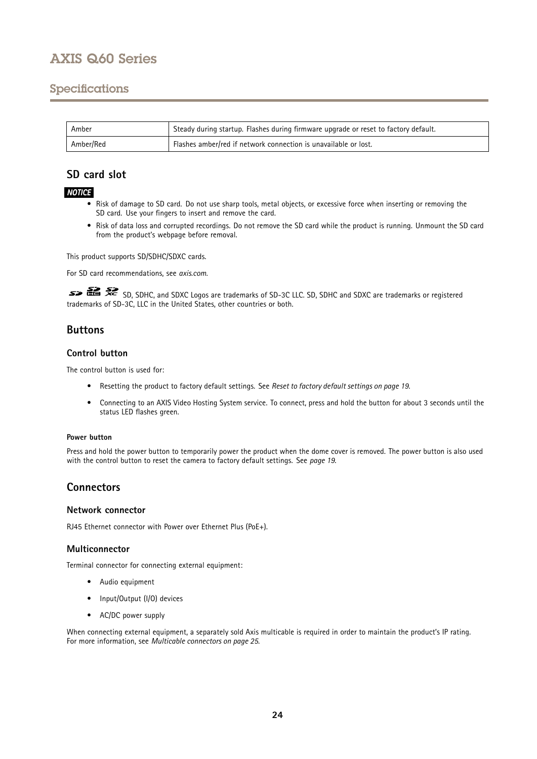## <span id="page-23-0"></span>Specifications

| Amber     | Steady during startup. Flashes during firmware upgrade or reset to factory default. |
|-----------|-------------------------------------------------------------------------------------|
| Amber/Red | Flashes amber/red if network connection is unavailable or lost.                     |

# **SD card slot**

### *NOTICE*

- Risk of damage to SD card. Do not use sharp tools, metal objects, or excessive force when inserting or removing the SD card. Use your fingers to insert and remove the card.
- Risk of data loss and corrupted recordings. Do not remove the SD card while the product is running. Unmount the SD card from the product's webpage before removal.

This product supports SD/SDHC/SDXC cards.

For SD card recommendations, see *[axis.com](https://www.axis.com)*.

SD, SDHC, and SDXC Logos are trademarks of SD-3C LLC. SD, SDHC and SDXC are trademarks or registered trademarks of SD-3C, LLC in the United States, other countries or both.

## **Buttons**

### **Control button**

The control button is used for:

- Resetting the product to factory default settings. See *Reset to factory default [settings](#page-18-0) on page [19](#page-18-0)*.
- Connecting to an AXIS Video Hosting System service. To connect, press and hold the button for about 3 seconds until the status LED flashes green.

#### **Power button**

Press and hold the power button to temporarily power the product when the dome cover is removed. The power button is also used with the control button to reset the camera to factory default settings. See *[page](#page-18-0) [19](#page-18-0)*.

### **Connectors**

### **Network connector**

RJ45 Ethernet connector with Power over Ethernet Plus (PoE+).

### **Multiconnector**

Terminal connector for connecting external equipment:

- Audio equipment
- Input/Output (I/O) devices
- AC/DC power supply

When connecting external equipment, <sup>a</sup> separately sold Axis multicable is required in order to maintain the product's IP rating. For more information, see *[Multicable](#page-24-0) connectors on page [25](#page-24-0)*.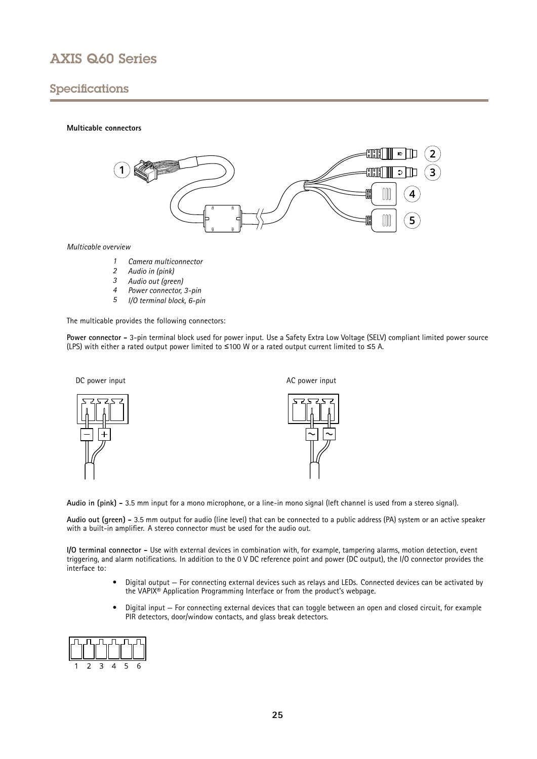# <span id="page-24-0"></span>Specifications

#### **Multicable connectors**



#### *Multicable overview*

- *1 Camera multiconnector*
- *<sup>2</sup> Audio in (pink)*
- *<sup>3</sup> Audio out (green)*
- *<sup>4</sup> Power connector, 3-pin*
- *<sup>5</sup> I/O terminal block, 6-pin*

The multicable provides the following connectors:

**Power connector -** 3-pin terminal block used for power input. Use <sup>a</sup> Safety Extra Low Voltage (SELV) compliant limited power source (LPS) with either <sup>a</sup> rated output power limited to <sup>≤</sup><sup>100</sup> W or <sup>a</sup> rated output current limited to <sup>≤</sup><sup>5</sup> A.



**Audio in (pink) -** 3.5 mm input for <sup>a</sup> mono microphone, or <sup>a</sup> line-in mono signal (left channel is used from <sup>a</sup> stereo signal).

**Audio out (green) -** 3.5 mm output for audio (line level) that can be connected to <sup>a</sup> public address (PA) system or an active speaker with <sup>a</sup> built-in amplifier. A stereo connector must be used for the audio out.

**I/O terminal connector -** Use with external devices in combination with, for example, tampering alarms, motion detection, event triggering, and alarm notifications. In addition to the <sup>0</sup> V DC reference point and power (DC output), the I/O connector provides the interface to:

- • Digital output — For connecting external devices such as relays and LEDs. Connected devices can be activated by the VAPIX® Application Programming Interface or from the product's webpage.
- • Digital input — For connecting external devices that can toggle between an open and closed circuit, for example PIR detectors, door/window contacts, and glass break detectors.

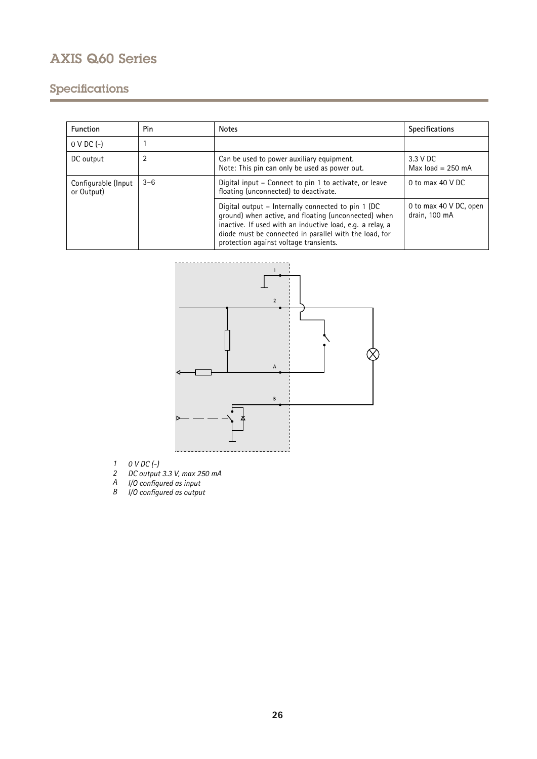# Specifications

| <b>Function</b>                   | Pin     | <b>Notes</b>                                                                                                                                                                                                                                                                 | <b>Specifications</b>                   |
|-----------------------------------|---------|------------------------------------------------------------------------------------------------------------------------------------------------------------------------------------------------------------------------------------------------------------------------------|-----------------------------------------|
| $0 \vee DC$ (-)                   |         |                                                                                                                                                                                                                                                                              |                                         |
| DC output                         | 2       | Can be used to power auxiliary equipment.<br>Note: This pin can only be used as power out.                                                                                                                                                                                   | 3.3 V DC<br>Max $load = 250$ mA         |
| Configurable (Input<br>or Output) | $3 - 6$ | Digital input - Connect to pin 1 to activate, or leave<br>floating (unconnected) to deactivate.                                                                                                                                                                              | 0 to max $40$ V DC                      |
|                                   |         | Digital output – Internally connected to pin 1 (DC)<br>ground) when active, and floating (unconnected) when<br>inactive. If used with an inductive load, e.g. a relay, a<br>diode must be connected in parallel with the load, for<br>protection against voltage transients. | 0 to max 40 V DC, open<br>drain, 100 mA |



- *1 0 V DC (-)*
- *2 DC output 3.3 V, max 250 mA*
- *A I/O configured as input*
- *B I/O configured as output*